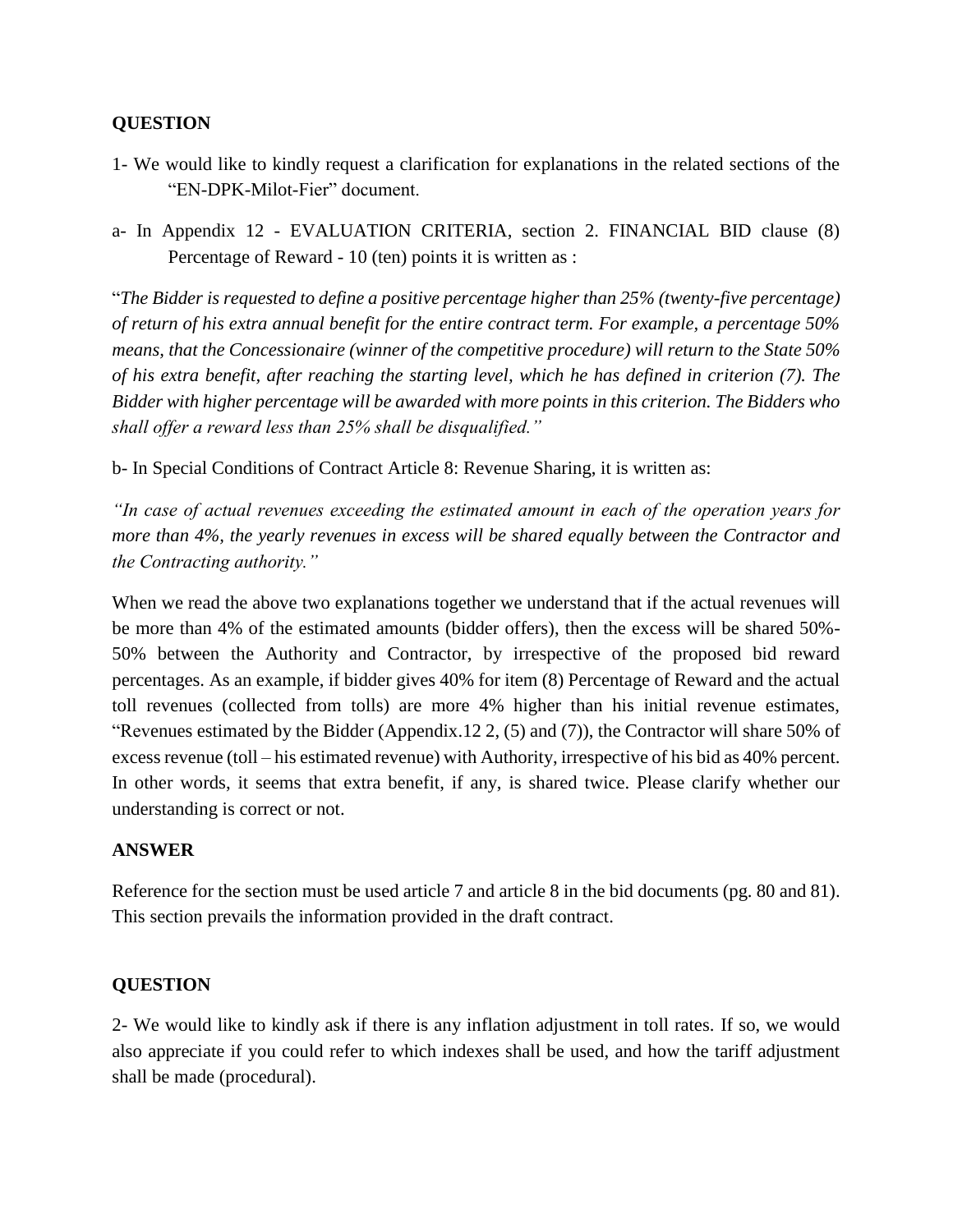### **QUESTION**

- 1- We would like to kindly request a clarification for explanations in the related sections of the "EN-DPK-Milot-Fier" document.
- a- In Appendix 12 EVALUATION CRITERIA, section 2. FINANCIAL BID clause (8) Percentage of Reward - 10 (ten) points it is written as :

"*The Bidder is requested to define a positive percentage higher than 25% (twenty-five percentage) of return of his extra annual benefit for the entire contract term. For example, a percentage 50% means, that the Concessionaire (winner of the competitive procedure) will return to the State 50% of his extra benefit, after reaching the starting level, which he has defined in criterion (7). The Bidder with higher percentage will be awarded with more points in this criterion. The Bidders who shall offer a reward less than 25% shall be disqualified."*

b- In Special Conditions of Contract Article 8: Revenue Sharing, it is written as:

*"In case of actual revenues exceeding the estimated amount in each of the operation years for more than 4%, the yearly revenues in excess will be shared equally between the Contractor and the Contracting authority."*

When we read the above two explanations together we understand that if the actual revenues will be more than 4% of the estimated amounts (bidder offers), then the excess will be shared 50%- 50% between the Authority and Contractor, by irrespective of the proposed bid reward percentages. As an example, if bidder gives 40% for item (8) Percentage of Reward and the actual toll revenues (collected from tolls) are more 4% higher than his initial revenue estimates, "Revenues estimated by the Bidder (Appendix.12 2, (5) and (7)), the Contractor will share 50% of excess revenue (toll – his estimated revenue) with Authority, irrespective of his bid as 40% percent. In other words, it seems that extra benefit, if any, is shared twice. Please clarify whether our understanding is correct or not.

### **ANSWER**

Reference for the section must be used article 7 and article 8 in the bid documents (pg. 80 and 81). This section prevails the information provided in the draft contract.

### **QUESTION**

2- We would like to kindly ask if there is any inflation adjustment in toll rates. If so, we would also appreciate if you could refer to which indexes shall be used, and how the tariff adjustment shall be made (procedural).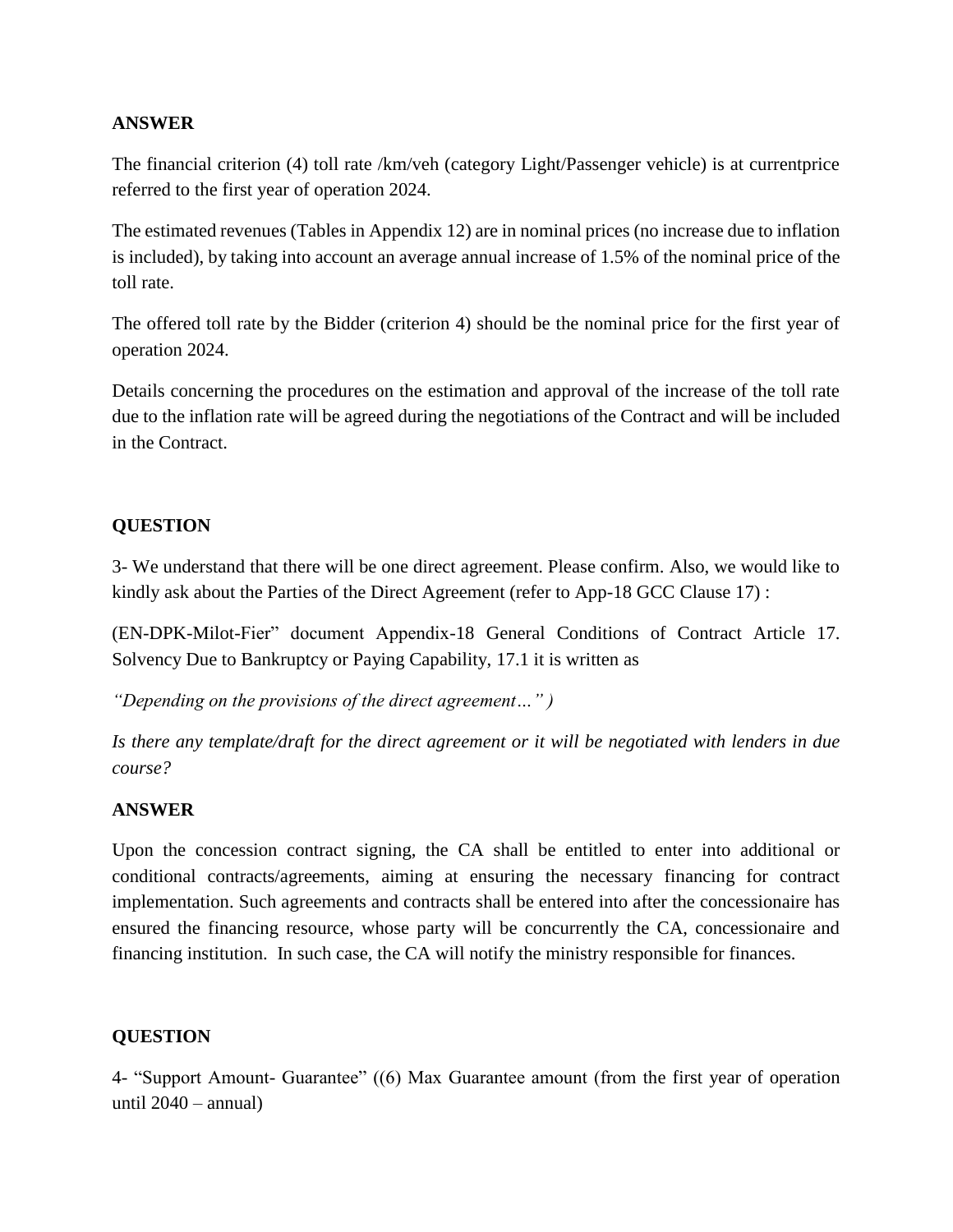### **ANSWER**

The financial criterion (4) toll rate /km/veh (category Light/Passenger vehicle) is at currentprice referred to the first year of operation 2024.

The estimated revenues (Tables in Appendix 12) are in nominal prices (no increase due to inflation is included), by taking into account an average annual increase of 1.5% of the nominal price of the toll rate.

The offered toll rate by the Bidder (criterion 4) should be the nominal price for the first year of operation 2024.

Details concerning the procedures on the estimation and approval of the increase of the toll rate due to the inflation rate will be agreed during the negotiations of the Contract and will be included in the Contract.

## **QUESTION**

3- We understand that there will be one direct agreement. Please confirm. Also, we would like to kindly ask about the Parties of the Direct Agreement (refer to App-18 GCC Clause 17) :

(EN-DPK-Milot-Fier" document Appendix-18 General Conditions of Contract Article 17. Solvency Due to Bankruptcy or Paying Capability, 17.1 it is written as

*"Depending on the provisions of the direct agreement…" )*

*Is there any template/draft for the direct agreement or it will be negotiated with lenders in due course?*

### **ANSWER**

Upon the concession contract signing, the CA shall be entitled to enter into additional or conditional contracts/agreements, aiming at ensuring the necessary financing for contract implementation. Such agreements and contracts shall be entered into after the concessionaire has ensured the financing resource, whose party will be concurrently the CA, concessionaire and financing institution. In such case, the CA will notify the ministry responsible for finances.

### **QUESTION**

4- "Support Amount- Guarantee" ((6) Max Guarantee amount (from the first year of operation until  $2040 - \text{annual}$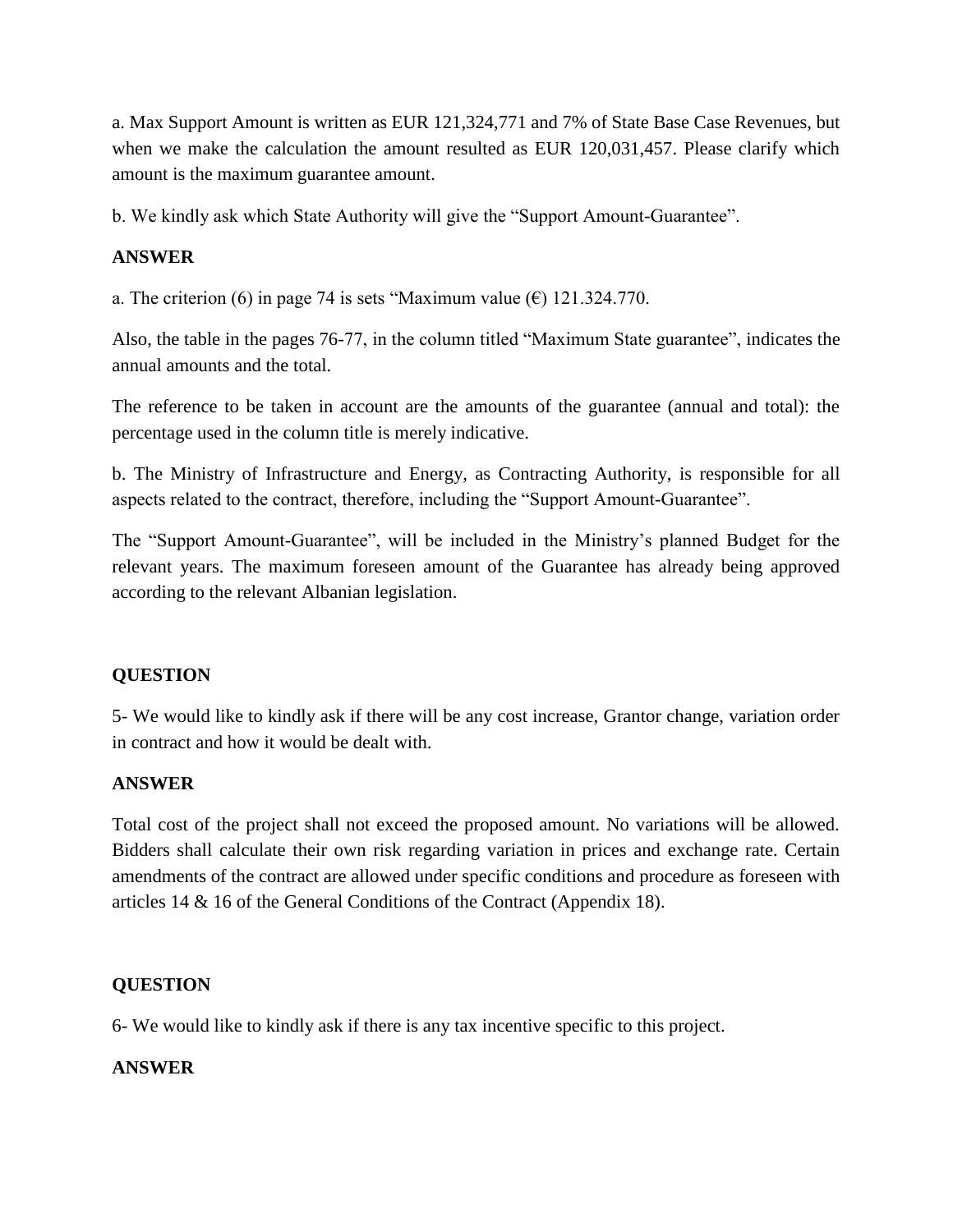a. Max Support Amount is written as EUR 121,324,771 and 7% of State Base Case Revenues, but when we make the calculation the amount resulted as EUR 120,031,457. Please clarify which amount is the maximum guarantee amount.

b. We kindly ask which State Authority will give the "Support Amount-Guarantee".

# **ANSWER**

a. The criterion (6) in page 74 is sets "Maximum value ( $\epsilon$ ) 121.324.770.

Also, the table in the pages 76-77, in the column titled "Maximum State guarantee", indicates the annual amounts and the total.

The reference to be taken in account are the amounts of the guarantee (annual and total): the percentage used in the column title is merely indicative.

b. The Ministry of Infrastructure and Energy, as Contracting Authority, is responsible for all aspects related to the contract, therefore, including the "Support Amount-Guarantee".

The "Support Amount-Guarantee", will be included in the Ministry's planned Budget for the relevant years. The maximum foreseen amount of the Guarantee has already being approved according to the relevant Albanian legislation.

# **QUESTION**

5- We would like to kindly ask if there will be any cost increase, Grantor change, variation order in contract and how it would be dealt with.

# **ANSWER**

Total cost of the project shall not exceed the proposed amount. No variations will be allowed. Bidders shall calculate their own risk regarding variation in prices and exchange rate. Certain amendments of the contract are allowed under specific conditions and procedure as foreseen with articles 14 & 16 of the General Conditions of the Contract (Appendix 18).

# **QUESTION**

6- We would like to kindly ask if there is any tax incentive specific to this project.

# **ANSWER**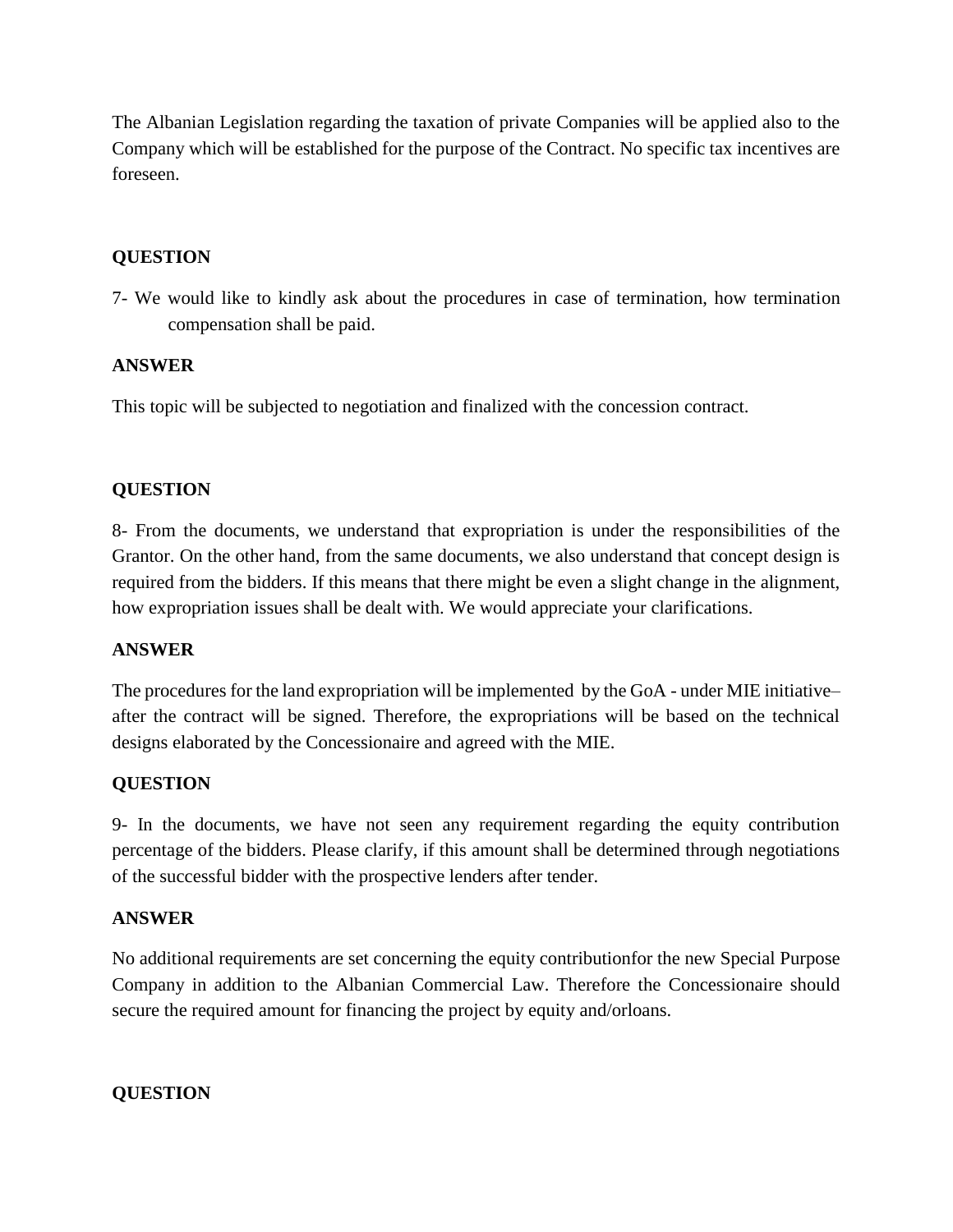The Albanian Legislation regarding the taxation of private Companies will be applied also to the Company which will be established for the purpose of the Contract. No specific tax incentives are foreseen.

## **QUESTION**

7- We would like to kindly ask about the procedures in case of termination, how termination compensation shall be paid.

### **ANSWER**

This topic will be subjected to negotiation and finalized with the concession contract.

### **QUESTION**

8- From the documents, we understand that expropriation is under the responsibilities of the Grantor. On the other hand, from the same documents, we also understand that concept design is required from the bidders. If this means that there might be even a slight change in the alignment, how expropriation issues shall be dealt with. We would appreciate your clarifications.

#### **ANSWER**

The procedures for the land expropriation will be implemented by the GoA - under MIE initiative– after the contract will be signed. Therefore, the expropriations will be based on the technical designs elaborated by the Concessionaire and agreed with the MIE.

### **QUESTION**

9- In the documents, we have not seen any requirement regarding the equity contribution percentage of the bidders. Please clarify, if this amount shall be determined through negotiations of the successful bidder with the prospective lenders after tender.

### **ANSWER**

No additional requirements are set concerning the equity contributionfor the new Special Purpose Company in addition to the Albanian Commercial Law. Therefore the Concessionaire should secure the required amount for financing the project by equity and/orloans.

#### **QUESTION**